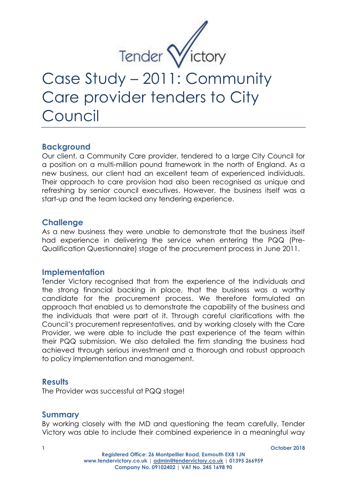

# Case Study – 2011: Community Care provider tenders to City Council

# **Background**

Our client, a Community Care provider, tendered to a large City Council for a position on a multi-million pound framework in the north of England. As a new business, our client had an excellent team of experienced individuals. Their approach to care provision had also been recognised as unique and refreshing by senior council executives. However, the business itself was a start-up and the team lacked any tendering experience.

# **Challenge**

As a new business they were unable to demonstrate that the business itself had experience in delivering the service when entering the PQQ (Pre-Qualification Questionnaire) stage of the procurement process in June 2011.

### **Implementation**

Tender Victory recognised that from the experience of the individuals and the strong financial backing in place, that the business was a worthy candidate for the procurement process. We therefore formulated an approach that enabled us to demonstrate the capability of the business and the individuals that were part of it. Through careful clarifications with the Council's procurement representatives, and by working closely with the Care Provider, we were able to include the past experience of the team within their PQQ submission. We also detailed the firm standing the business had achieved through serious investment and a thorough and robust approach to policy implementation and management.

### **Results**

The Provider was successful at PQQ stage!

### **Summary**

By working closely with the MD and questioning the team carefully, Tender Victory was able to include their combined experience in a meaningful way